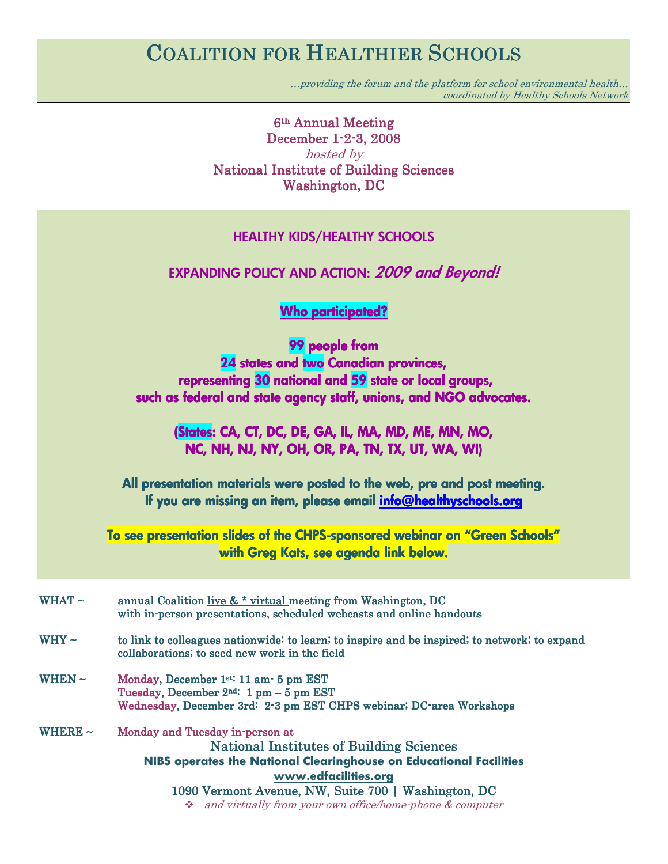# COALITION FOR HEALTHIER SCHOOLS

…providing the forum and the platform for school environmental health… coordinated by Healthy Schools Network

6<sup>th</sup> Annual Meeting December 1-2-3, 2008 hosted by National Institute of Building Sciences Washington, DC

| <b>HEALTHY KIDS/HEALTHY SCHOOLS</b>                                                                                                                                                                                                                                                                |  |
|----------------------------------------------------------------------------------------------------------------------------------------------------------------------------------------------------------------------------------------------------------------------------------------------------|--|
| <b>EXPANDING POLICY AND ACTION: 2009 and Beyond!</b>                                                                                                                                                                                                                                               |  |
| <b>Who participated?</b>                                                                                                                                                                                                                                                                           |  |
| 99 people from<br>24 states and two Canadian provinces,<br>representing 30 national and 59 state or local groups,<br>such as federal and state agency staff, unions, and NGO advocates.<br>(States: CA, CT, DC, DE, GA, IL, MA, MD, ME, MN, MO,<br>NC, NH, NJ, NY, OH, OR, PA, TN, TX, UT, WA, WI) |  |
|                                                                                                                                                                                                                                                                                                    |  |
| All presentation materials were posted to the web, pre and post meeting.<br>If you are missing an item, please email info@healthyschools.org                                                                                                                                                       |  |
| To see presentation slides of the CHPS-sponsored webinar on "Green Schools"<br>with Greg Kats, see agenda link below.                                                                                                                                                                              |  |
| annual Coalition live & * virtual meeting from Washington, DC<br>with in-person presentations, scheduled webcasts and online handouts                                                                                                                                                              |  |
| to link to colleagues nationwide: to learn; to inspire and be inspired; to network; to expand<br>collaborations; to seed new work in the field                                                                                                                                                     |  |
| Monday, December 1st: 11 am- 5 pm EST<br>Tuesday, December $2^{nd}$ : 1 pm - 5 pm EST<br>Wednesday, December 3rd: 2-3 pm EST CHPS webinar; DC-area Workshops                                                                                                                                       |  |
| Monday and Tuesday in-person at<br><b>National Institutes of Building Sciences</b><br>NIBS operates the National Clearinghouse on Educational Facilities<br>www.edfacilities.org                                                                                                                   |  |
|                                                                                                                                                                                                                                                                                                    |  |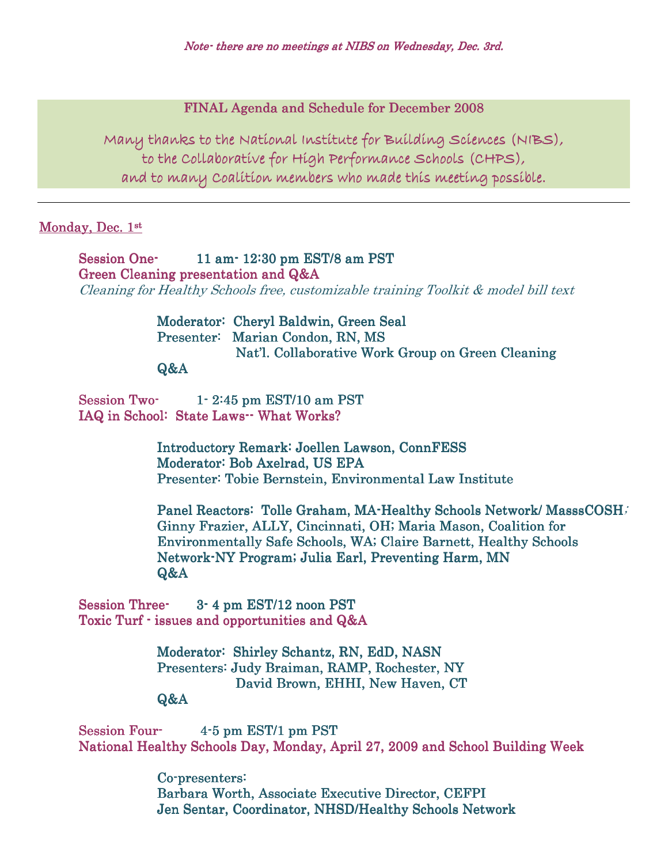## FINAL Agenda and Schedule for December 2008

Many thanks to the National Institute for Building Sciences (NIBS), to the Collaborative for High Performance Schools (CHPS), and to many Coalition members who made this meeting possible.

#### Monday, Dec. 1st

Session One- 11 am- 12:30 pm EST/8 am PST Green Cleaning presentation and Q&A Cleaning for Healthy Schools free, customizable training Toolkit & model bill text

# Moderator: Cheryl Baldwin, Green Seal Presenter: Marian Condon, RN, MS Nat'l. Collaborative Work Group on Green Cleaning

### Q&A

Session Two $-$  1  $-$  2:45 pm EST/10 am PST IAQ in School: State Laws-- What Works?

> Introductory Remark: Joellen Lawson, ConnFESS Moderator: Bob Axelrad, US EPA Presenter: Tobie Bernstein, Environmental Law Institute

Panel Reactors: Tolle Graham, MA-Healthy Schools Network/ MasssCOSH; Ginny Frazier, ALLY, Cincinnati, OH; Maria Mason, Coalition for Environmentally Safe Schools, WA; Claire Barnett, Healthy Schools Network-NY Program; Julia Earl, Preventing Harm, MN Q&A

Session Three- 3- 4 pm EST/12 noon PST Toxic Turf  $\cdot$  issues and opportunities and  $Q&A$ 

> Moderator: Shirley Schantz, RN, EdD, NASN Presenters: Judy Braiman, RAMP, Rochester, NY David Brown, EHHI, New Haven, CT

#### Q&A

Session Four- 4-5 pm EST/1 pm PST National Healthy Schools Day, Monday, April 27, 2009 and School Building Week

> Co-presenters: Barbara Worth, Associate Executive Director, CEFPI Jen Sentar, Coordinator, NHSD/Healthy Schools Network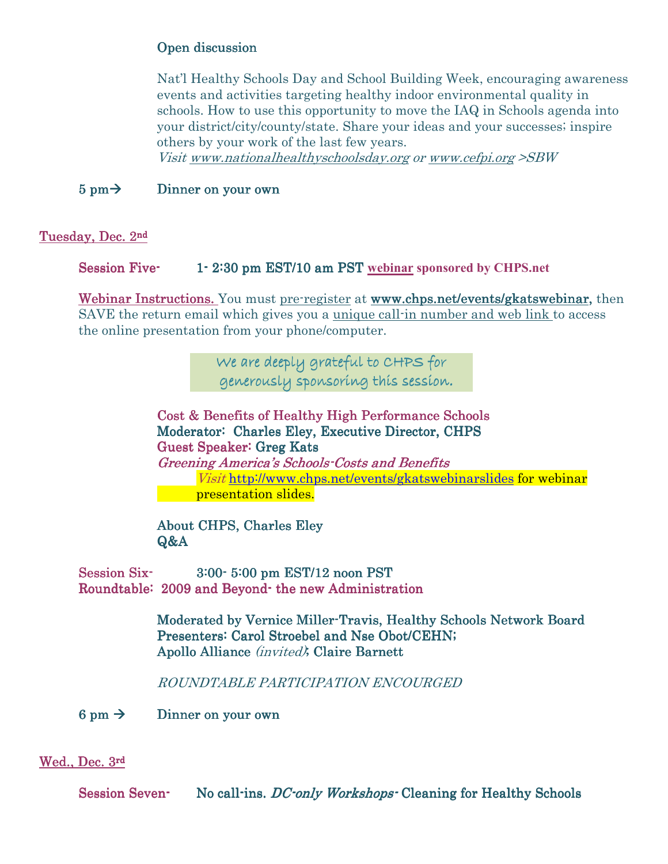# Open discussion

Nat'l Healthy Schools Day and School Building Week, encouraging awareness events and activities targeting healthy indoor environmental quality in schools. How to use this opportunity to move the IAQ in Schools agenda into your district/city/county/state. Share your ideas and your successes; inspire others by your work of the last few years.

Visit www.nationalhealthyschoolsday.org or www.cefpi.org >SBW

# $5 \text{ pm} \rightarrow$  Dinner on your own

Tuesday, Dec. 2nd

Session Five- 1-2:30 pm EST/10 am PST webinar sponsored by CHPS.net

Webinar Instructions. You must pre-register at www.chps.net/events/gkatswebinar, then SAVE the return email which gives you a unique call-in number and web link to access the online presentation from your phone/computer.

> We are deeply grateful to CHPS for generously sponsoring this session .

Cost & Benefits of Healthy High Performance Schools Moderator: Charles Eley, Executive Director, CHPS Guest Speaker: Greg Kats Greening America's Schools-Costs and Benefits Visit http://www.chps.net/events/gkatswebinarslides for webinar presentation slides.

About CHPS, Charles Eley Q&A

 $Session Six-  
3:00-5:00 pm EST/12 noon PST$ Roundtable: 2009 and Beyond- the new Administration

> Moderated by Vernice Miller-Travis, Healthy Schools Network Board Presenters: Carol Stroebel and Nse Obot/CEHN; Apollo Alliance (invited); Claire Barnett

ROUNDTABLE PARTICIPATION ENCOURGED

 $6 \text{ pm} \rightarrow$  Dinner on your own

#### Wed., Dec. 3rd

Session Seven- No call-ins. DC-only Workshops- Cleaning for Healthy Schools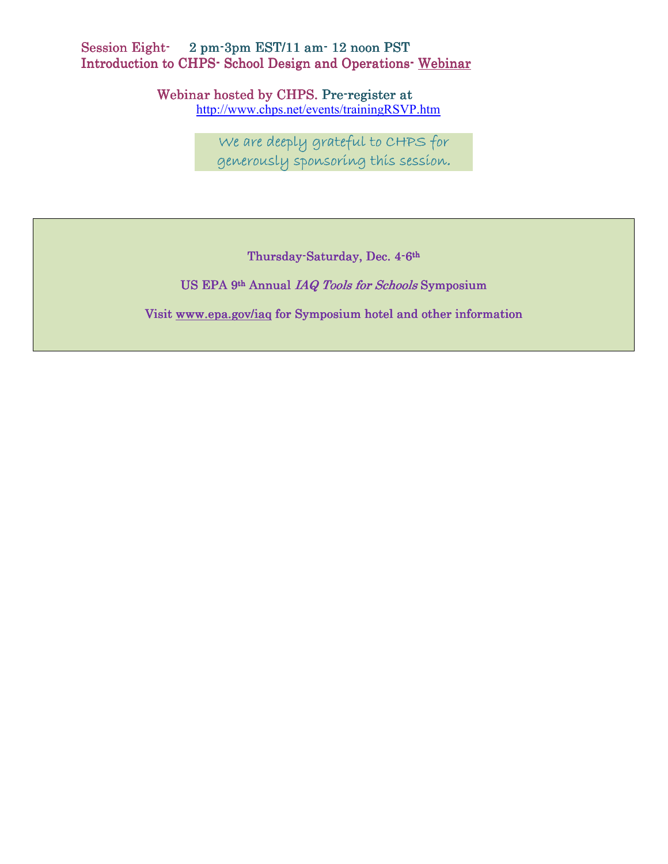# Session Eight- 2 pm-3pm EST/11 am- 12 noon PST Introduction to CHPS- School Design and Operations-Webinar

Webinar hosted by CHPS. Pre-register at

http://www.chps.net/events/trainingRSVP.htm

We are deeply grateful to CHPS for generously sponsoring this session.

Thursday-Saturday, Dec. 4-6<sup>th</sup>

US EPA 9<sup>th</sup> Annual IAQ Tools for Schools Symposium

Visit www.epa.gov/iaq for Symposium hotel and other information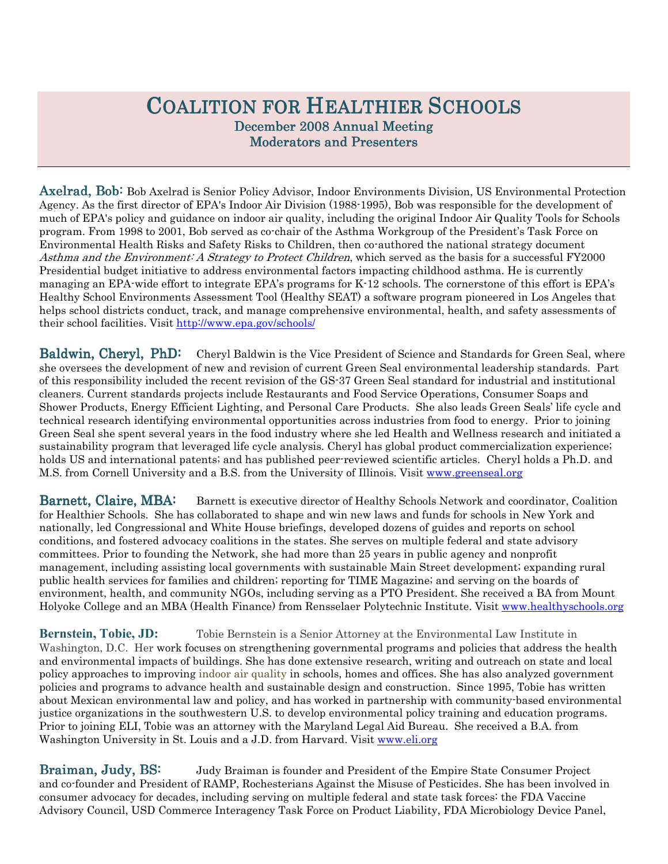# COALITION FOR HEALTHIER SCHOOLS December 2008 Annual Meeting **Moderators and Presenters**

Axelrad, Bob: Bob Axelrad is Senior Policy Advisor, Indoor Environments Division, US Environmental Protection Agency. As the first director of EPA's Indoor Air Division (1988-1995), Bob was responsible for the development of much of EPA's policy and guidance on indoor air quality, including the original Indoor Air Quality Tools for Schools program. From 1998 to 2001, Bob served as co-chair of the Asthma Workgroup of the President's Task Force on Environmental Health Risks and Safety Risks to Children, then co-authored the national strategy document Asthma and the Environment: A Strategy to Protect Children, which served as the basis for a successful FY2000 Presidential budget initiative to address environmental factors impacting childhood asthma. He is currently managing an EPA-wide effort to integrate EPA's programs for K-12 schools. The cornerstone of this effort is EPA's Healthy School Environments Assessment Tool (Healthy SEAT) a software program pioneered in Los Angeles that helps school districts conduct, track, and manage comprehensive environmental, health, and safety assessments of their school facilities. Visit http://www.epa.gov/schools/

Baldwin, Cheryl, PhD: Cheryl Baldwin is the Vice President of Science and Standards for Green Seal, where she oversees the development of new and revision of current Green Seal environmental leadership standards. Part of this responsibility included the recent revision of the GS-37 Green Seal standard for industrial and institutional cleaners. Current standards projects include Restaurants and Food Service Operations, Consumer Soaps and Shower Products, Energy Efficient Lighting, and Personal Care Products. She also leads Green Seals' life cycle and technical research identifying environmental opportunities across industries from food to energy. Prior to joining Green Seal she spent several years in the food industry where she led Health and Wellness research and initiated a sustainability program that leveraged life cycle analysis. Cheryl has global product commercialization experience; holds US and international patents; and has published peer-reviewed scientific articles. Cheryl holds a Ph.D. and M.S. from Cornell University and a B.S. from the University of Illinois. Visit www.greenseal.org

Barnett, Claire, MBA: Barnett is executive director of Healthy Schools Network and coordinator, Coalition for Healthier Schools. She has collaborated to shape and win new laws and funds for schools in New York and nationally, led Congressional and White House briefings, developed dozens of guides and reports on school conditions, and fostered advocacy coalitions in the states. She serves on multiple federal and state advisory committees. Prior to founding the Network, she had more than 25 years in public agency and nonprofit management, including assisting local governments with sustainable Main Street development; expanding rural public health services for families and children; reporting for TIME Magazine; and serving on the boards of environment, health, and community NGOs, including serving as a PTO President. She received a BA from Mount Holyoke College and an MBA (Health Finance) from Rensselaer Polytechnic Institute. Visit www.healthyschools.org

**Bernstein, Tobie, JD:** Tobie Bernstein is a Senior Attorney at the Environmental Law Institute in Washington, D.C. Her work focuses on strengthening governmental programs and policies that address the health and environmental impacts of buildings. She has done extensive research, writing and outreach on state and local policy approaches to improving indoor air quality in schools, homes and offices. She has also analyzed government policies and programs to advance health and sustainable design and construction. Since 1995, Tobie has written about Mexican environmental law and policy, and has worked in partnership with community-based environmental justice organizations in the southwestern U.S. to develop environmental policy training and education programs. Prior to joining ELI, Tobie was an attorney with the Maryland Legal Aid Bureau. She received a B.A. from Washington University in St. Louis and a J.D. from Harvard. Visit www.eli.org

Braiman, Judy, BS: Judy Braiman is founder and President of the Empire State Consumer Project and co-founder and President of RAMP, Rochesterians Against the Misuse of Pesticides. She has been involved in consumer advocacy for decades, including serving on multiple federal and state task forces: the FDA Vaccine Advisory Council, USD Commerce Interagency Task Force on Product Liability, FDA Microbiology Device Panel,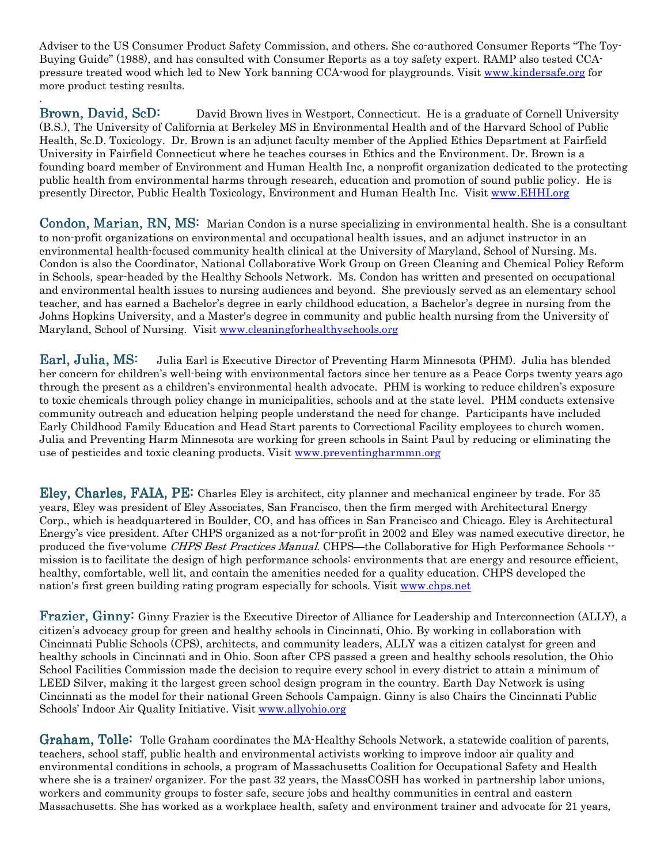Adviser to the US Consumer Product Safety Commission, and others. She co-authored Consumer Reports "The Toy-Buying Guide" (1988), and has consulted with Consumer Reports as a toy safety expert. RAMP also tested CCApressure treated wood which led to New York banning CCA-wood for playgrounds. Visit www.kindersafe.org for more product testing results.

.

Brown, David, ScD: David Brown lives in Westport, Connecticut. He is a graduate of Cornell University (B.S.), The University of California at Berkeley MS in Environmental Health and of the Harvard School of Public Health, Sc.D. Toxicology. Dr. Brown is an adjunct faculty member of the Applied Ethics Department at Fairfield University in Fairfield Connecticut where he teaches courses in Ethics and the Environment. Dr. Brown is a founding board member of Environment and Human Health Inc, a nonprofit organization dedicated to the protecting public health from environmental harms through research, education and promotion of sound public policy. He is presently Director, Public Health Toxicology, Environment and Human Health Inc. Visit www.EHHI.org

Condon, Marian,  $RN, MS$ : Marian Condon is a nurse specializing in environmental health. She is a consultant to non-profit organizations on environmental and occupational health issues, and an adjunct instructor in an environmental health-focused community health clinical at the University of Maryland, School of Nursing. Ms. Condon is also the Coordinator, National Collaborative Work Group on Green Cleaning and Chemical Policy Reform in Schools, spear-headed by the Healthy Schools Network. Ms. Condon has written and presented on occupational and environmental health issues to nursing audiences and beyond. She previously served as an elementary school teacher, and has earned a Bachelor's degree in early childhood education, a Bachelor's degree in nursing from the Johns Hopkins University, and a Master's degree in community and public health nursing from the University of Maryland, School of Nursing. Visit www.cleaningforhealthyschools.org

**Earl, Julia, MS:** Julia Earl is Executive Director of Preventing Harm Minnesota (PHM). Julia has blended her concern for children's well-being with environmental factors since her tenure as a Peace Corps twenty years ago through the present as a children's environmental health advocate. PHM is working to reduce children's exposure to toxic chemicals through policy change in municipalities, schools and at the state level. PHM conducts extensive community outreach and education helping people understand the need for change. Participants have included Early Childhood Family Education and Head Start parents to Correctional Facility employees to church women. Julia and Preventing Harm Minnesota are working for green schools in Saint Paul by reducing or eliminating the use of pesticides and toxic cleaning products. Visit www.preventingharmmn.org

Eley, Charles, Charles, FAIA, PE: Charles Eley is architect, city planner and mechanical engineer by trade. For 35 years, Eley was president of Eley Associates, San Francisco, then the firm merged with Architectural Energy Corp., which is headquartered in Boulder, CO, and has offices in San Francisco and Chicago. Eley is Architectural Energy's vice president. After CHPS organized as a not-for-profit in 2002 and Eley was named executive director, he produced the five-volume CHPS Best Practices Manual. CHPS—the Collaborative for High Performance Schools -mission is to facilitate the design of high performance schools: environments that are energy and resource efficient, healthy, comfortable, well lit, and contain the amenities needed for a quality education. CHPS developed the nation's first green building rating program especially for schools. Visit www.chps.net

Frazier, Ginny: Ginny: Ginny Frazier is the Executive Director of Alliance for Leadership and Interconnection (ALLY), a citizen's advocacy group for green and healthy schools in Cincinnati, Ohio. By working in collaboration with Cincinnati Public Schools (CPS), architects, and community leaders, ALLY was a citizen catalyst for green and healthy schools in Cincinnati and in Ohio. Soon after CPS passed a green and healthy schools resolution, the Ohio School Facilities Commission made the decision to require every school in every district to attain a minimum of LEED Silver, making it the largest green school design program in the country. Earth Day Network is using Cincinnati as the model for their national Green Schools Campaign. Ginny is also Chairs the Cincinnati Public Schools' Indoor Air Quality Initiative. Visit www.allyohio.org

Graham, Tolle: Tolle Graham coordinates the MA-Healthy Schools Network, a statewide coalition of parents, teachers, school staff, public health and environmental activists working to improve indoor air quality and environmental conditions in schools, a program of Massachusetts Coalition for Occupational Safety and Health where she is a trainer/ organizer. For the past 32 years, the MassCOSH has worked in partnership labor unions, workers and community groups to foster safe, secure jobs and healthy communities in central and eastern Massachusetts. She has worked as a workplace health, safety and environment trainer and advocate for 21 years,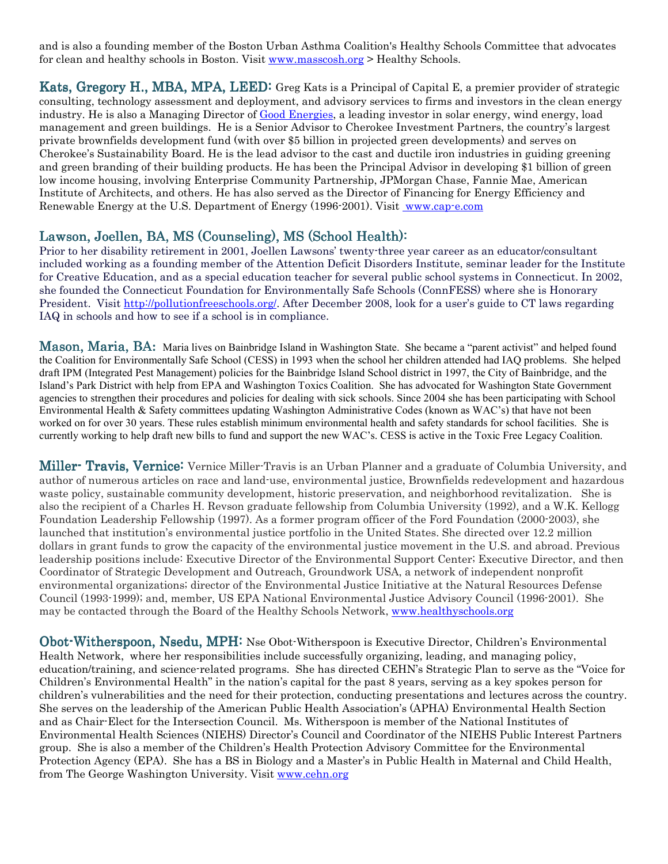and is also a founding member of the Boston Urban Asthma Coalition's Healthy Schools Committee that advocates for clean and healthy schools in Boston. Visit www.masscosh.org > Healthy Schools.

Kats, Gregory H., MBA, MPA, LEED: Greg Kats is a Principal of Capital E, a premier provider of strategic consulting, technology assessment and deployment, and advisory services to firms and investors in the clean energy industry. He is also a Managing Director of Good Energies, a leading investor in solar energy, wind energy, load management and green buildings. He is a Senior Advisor to Cherokee Investment Partners, the country's largest private brownfields development fund (with over \$5 billion in projected green developments) and serves on Cherokee's Sustainability Board. He is the lead advisor to the cast and ductile iron industries in guiding greening and green branding of their building products. He has been the Principal Advisor in developing \$1 billion of green low income housing, involving Enterprise Community Partnership, JPMorgan Chase, Fannie Mae, American Institute of Architects, and others. He has also served as the Director of Financing for Energy Efficiency and Renewable Energy at the U.S. Department of Energy (1996-2001). Visit www.cap-e.com

## Lawson, Joellen, BA, MS (Counseling), MS (School Health):

Prior to her disability retirement in 2001, Joellen Lawsons' twenty-three year career as an educator/consultant included working as a founding member of the Attention Deficit Disorders Institute, seminar leader for the Institute for Creative Education, and as a special education teacher for several public school systems in Connecticut. In 2002, she founded the Connecticut Foundation for Environmentally Safe Schools (ConnFESS) where she is Honorary President. Visit http://pollutionfreeschools.org/. After December 2008, look for a user's guide to CT laws regarding IAQ in schools and how to see if a school is in compliance.

**Mason, Maria, BA:** Maria lives on Bainbridge Island in Washington State. She became a "parent activist" and helped found the Coalition for Environmentally Safe School (CESS) in 1993 when the school her children attended had IAQ problems. She helped draft IPM (Integrated Pest Management) policies for the Bainbridge Island School district in 1997, the City of Bainbridge, and the Island's Park District with help from EPA and Washington Toxics Coalition. She has advocated for Washington State Government agencies to strengthen their procedures and policies for dealing with sick schools. Since 2004 she has been participating with School Environmental Health & Safety committees updating Washington Administrative Codes (known as WAC's) that have not been worked on for over 30 years. These rules establish minimum environmental health and safety standards for school facilities. She is currently working to help draft new bills to fund and support the new WAC's. CESS is active in the Toxic Free Legacy Coalition.

Miller- Travis, Vernice: Vernice Miller-Travis is an Urban Planner and a graduate of Columbia University, and author of numerous articles on race and land-use, environmental justice, Brownfields redevelopment and hazardous waste policy, sustainable community development, historic preservation, and neighborhood revitalization. She is also the recipient of a Charles H. Revson graduate fellowship from Columbia University (1992), and a W.K. Kellogg Foundation Leadership Fellowship (1997). As a former program officer of the Ford Foundation (2000-2003), she launched that institution's environmental justice portfolio in the United States. She directed over 12.2 million dollars in grant funds to grow the capacity of the environmental justice movement in the U.S. and abroad. Previous leadership positions include: Executive Director of the Environmental Support Center; Executive Director, and then Coordinator of Strategic Development and Outreach, Groundwork USA, a network of independent nonprofit environmental organizations; director of the Environmental Justice Initiative at the Natural Resources Defense Council (1993-1999); and, member, US EPA National Environmental Justice Advisory Council (1996-2001). She may be contacted through the Board of the Healthy Schools Network, www.healthyschools.org

Obot-Witherspoon, Nsedu, MPH: Nse Obot-Witherspoon is Executive Director, Children's Environmental Health Network, where her responsibilities include successfully organizing, leading, and managing policy, education/training, and science-related programs. She has directed CEHN's Strategic Plan to serve as the "Voice for Children's Environmental Health" in the nation's capital for the past 8 years, serving as a key spokes person for children's vulnerabilities and the need for their protection, conducting presentations and lectures across the country. She serves on the leadership of the American Public Health Association's (APHA) Environmental Health Section and as Chair-Elect for the Intersection Council. Ms. Witherspoon is member of the National Institutes of Environmental Health Sciences (NIEHS) Director's Council and Coordinator of the NIEHS Public Interest Partners group. She is also a member of the Children's Health Protection Advisory Committee for the Environmental Protection Agency (EPA). She has a BS in Biology and a Master's in Public Health in Maternal and Child Health, from The George Washington University. Visit www.cehn.org